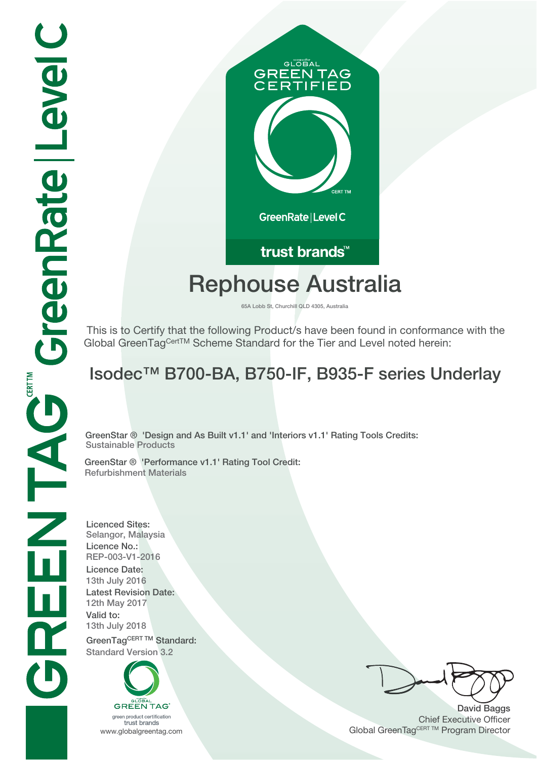# GLOBAL **GREEN TAG IFIED** GreenRate | Level C

### trust brands<sup>™</sup>

## **Rephouse Australia**

**65A Lobb St, Churchill QLD 4305, Australia**

 This is to Certify that the following Product/s have been found in conformance with the Global GreenTagCertTM Scheme Standard for the Tier and Level noted herein:

## **Isodec™ B700-BA, B750-IF, B935-F series Underlay**

**GreenStar ® 'Design and As Built v1.1' and 'Interiors v1.1' Rating Tools Credits: Sustainable Products**

**GreenStar ® 'Performance v1.1' Rating Tool Credit: Refurbishment Materials**

**Licenced Sites: Selangor, Malaysia Licence No.: REP-003-V1-2016 Licence Date: 13th July 2016 Latest Revision Date: 12th May 2017 Valid to: 13th July 2018** GreenTagCERT TM Standard: **Standard Version 3.2**

**GREEN TAG** 

green product certification trust brands

**David Baggs** Chief Executive Officer WWW.globalgreentag.com **Program Director** Channel Global GreenTagCERT TM Program Director